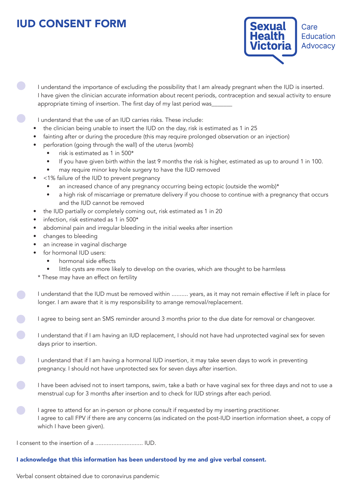## IUD CONSENT FORM



- I understand the importance of excluding the possibility that I am already pregnant when the IUD is inserted. I have given the clinician accurate information about recent periods, contraception and sexual activity to ensure appropriate timing of insertion. The first day of my last period was\_
	- I understand that the use of an IUD carries risks. These include:
	- the clinician being unable to insert the IUD on the day, risk is estimated as 1 in 25
	- fainting after or during the procedure (this may require prolonged observation or an injection)
	- perforation (going through the wall) of the uterus (womb)
		- risk is estimated as 1 in 500\*
		- If you have given birth within the last 9 months the risk is higher, estimated as up to around 1 in 100.
		- may require minor key hole surgery to have the IUD removed
	- <1% failure of the IUD to prevent pregnancy
		- an increased chance of any pregnancy occurring being ectopic (outside the womb)\*
		- a high risk of miscarriage or premature delivery if you choose to continue with a pregnancy that occurs and the IUD cannot be removed
	- the IUD partially or completely coming out, risk estimated as 1 in 20
	- infection, risk estimated as 1 in 500\*
	- abdominal pain and irregular bleeding in the initial weeks after insertion
	- changes to bleeding
	- an increase in vaginal discharge
	- for hormonal IUD users:
		- hormonal side effects
		- little cysts are more likely to develop on the ovaries, which are thought to be harmless
		- \* These may have an effect on fertility
- I understand that the IUD must be removed within .......... years, as it may not remain effective if left in place for longer. I am aware that it is my responsibility to arrange removal/replacement.
- I agree to being sent an SMS reminder around 3 months prior to the due date for removal or changeover.
	- I understand that if I am having an IUD replacement, I should not have had unprotected vaginal sex for seven days prior to insertion.
- I understand that if I am having a hormonal IUD insertion, it may take seven days to work in preventing pregnancy. I should not have unprotected sex for seven days after insertion.
- I have been advised not to insert tampons, swim, take a bath or have vaginal sex for three days and not to use a menstrual cup for 3 months after insertion and to check for IUD strings after each period.
- I agree to attend for an in-person or phone consult if requested by my inserting practitioner. I agree to call FPV if there are any concerns (as indicated on the post-IUD insertion information sheet, a copy of which I have been given).

I consent to the insertion of a ............................. IUD.

## I acknowledge that this information has been understood by me and give verbal consent.

Verbal consent obtained due to coronavirus pandemic